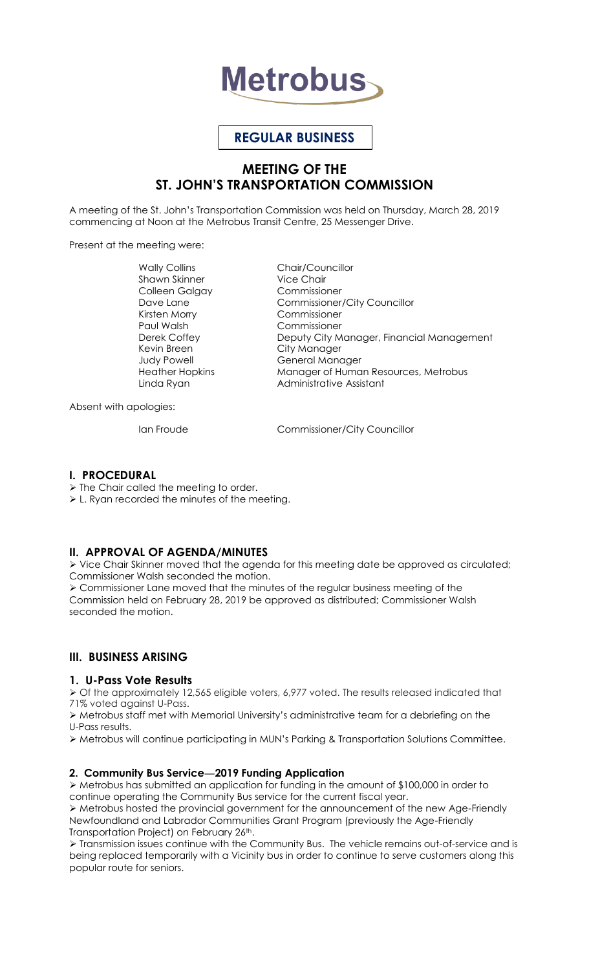

# **REGULAR BUSINESS**

# **MEETING OF THE ST. JOHN'S TRANSPORTATION COMMISSION**

A meeting of the St. John's Transportation Commission was held on Thursday, March 28, 2019 commencing at Noon at the Metrobus Transit Centre, 25 Messenger Drive.

Present at the meeting were:

Shawn Skinner Colleen Galgay Commissioner Kirsten Morry Commissioner Paul Walsh Commissioner Kevin Breen City Manager

Wally Collins Chair/Councillor Dave Lane Commissioner/City Councillor Deputy City Manager, Financial Management Judy Powell General Manager Heather Hopkins Manager of Human Resources, Metrobus Linda Ryan **Administrative Assistant** 

Absent with apologies:

Ian Froude Commissioner/City Councillor

#### **I. PROCEDURAL**

 $\triangleright$  The Chair called the meeting to order.

L. Ryan recorded the minutes of the meeting.

# **II. APPROVAL OF AGENDA/MINUTES**

 Vice Chair Skinner moved that the agenda for this meeting date be approved as circulated; Commissioner Walsh seconded the motion.

 Commissioner Lane moved that the minutes of the regular business meeting of the Commission held on February 28, 2019 be approved as distributed; Commissioner Walsh seconded the motion.

# **III. BUSINESS ARISING**

#### **1. U-Pass Vote Results**

 $\triangleright$  Of the approximately 12,565 eligible voters, 6,977 voted. The results released indicated that 71% voted against U-Pass.

 Metrobus staff met with Memorial University's administrative team for a debriefing on the U-Pass results.

Metrobus will continue participating in MUN's Parking & Transportation Solutions Committee.

#### **2. Community Bus Service—2019 Funding Application**

 Metrobus has submitted an application for funding in the amount of \$100,000 in order to continue operating the Community Bus service for the current fiscal year. Metrobus hosted the provincial government for the announcement of the new Age-Friendly Newfoundland and Labrador Communities Grant Program (previously the Age-Friendly Transportation Project) on February 26<sup>th</sup>.

 Transmission issues continue with the Community Bus. The vehicle remains out-of-service and is being replaced temporarily with a Vicinity bus in order to continue to serve customers along this popular route for seniors.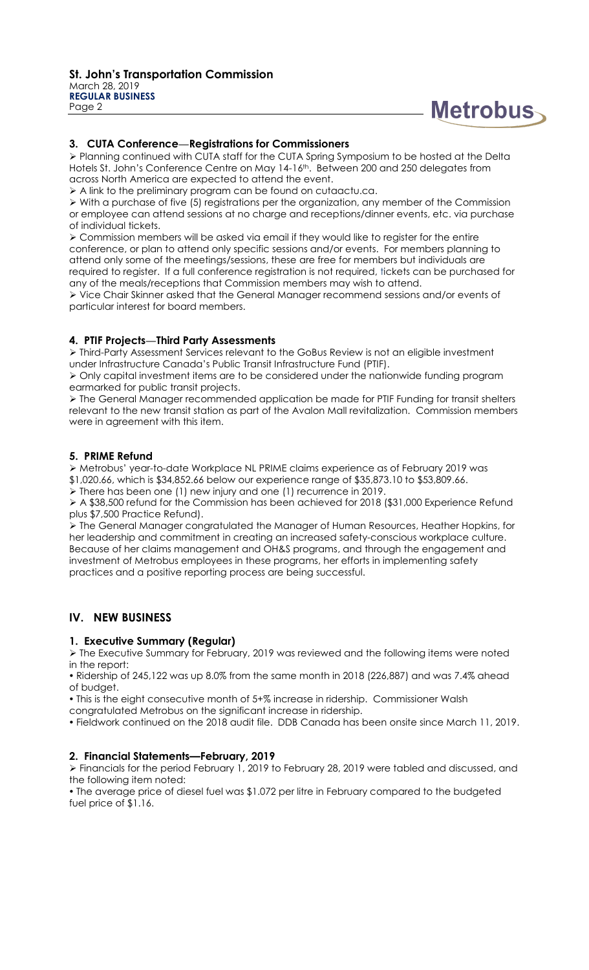

#### **3. CUTA Conference—Registrations for Commissioners**

 Planning continued with CUTA staff for the CUTA Spring Symposium to be hosted at the Delta Hotels St. John's Conference Centre on May 14-16<sup>th</sup>. Between 200 and 250 delegates from across North America are expected to attend the event.

A link to the preliminary program can be found on cutaactu.ca.

 $\triangleright$  With a purchase of five (5) registrations per the organization, any member of the Commission or employee can attend sessions at no charge and receptions/dinner events, etc. via purchase of individual tickets.

 Commission members will be asked via email if they would like to register for the entire conference, or plan to attend only specific sessions and/or events. For members planning to attend only some of the meetings/sessions, these are free for members but individuals are required to register. If a full conference registration is not required, tickets can be purchased for any of the meals/receptions that Commission members may wish to attend.

 Vice Chair Skinner asked that the General Manager recommend sessions and/or events of particular interest for board members.

#### **4. PTIF Projects—Third Party Assessments**

 Third-Party Assessment Services relevant to the GoBus Review is not an eligible investment under Infrastructure Canada's Public Transit Infrastructure Fund (PTIF).

 Only capital investment items are to be considered under the nationwide funding program earmarked for public transit projects.

 The General Manager recommended application be made for PTIF Funding for transit shelters relevant to the new transit station as part of the Avalon Mall revitalization. Commission members were in agreement with this item.

#### **5. PRIME Refund**

 Metrobus' year-to-date Workplace NL PRIME claims experience as of February 2019 was \$1,020.66, which is \$34,852.66 below our experience range of \$35,873.10 to \$53,809.66.

 $\triangleright$  There has been one (1) new injury and one (1) recurrence in 2019.

 A \$38,500 refund for the Commission has been achieved for 2018 (\$31,000 Experience Refund plus \$7,500 Practice Refund).

 The General Manager congratulated the Manager of Human Resources, Heather Hopkins, for her leadership and commitment in creating an increased safety-conscious workplace culture. Because of her claims management and OH&S programs, and through the engagement and investment of Metrobus employees in these programs, her efforts in implementing safety practices and a positive reporting process are being successful.

# **IV. NEW BUSINESS**

#### **1. Executive Summary (Regular)**

 $\triangleright$  The Executive Summary for February, 2019 was reviewed and the following items were noted in the report:

 Ridership of 245,122 was up 8.0% from the same month in 2018 (226,887) and was 7.4% ahead of budget.

This is the eight consecutive month of 5+% increase in ridership. Commissioner Walsh

congratulated Metrobus on the significant increase in ridership.

Fieldwork continued on the 2018 audit file. DDB Canada has been onsite since March 11, 2019.

#### **2. Financial Statements—February, 2019**

 Financials for the period February 1, 2019 to February 28, 2019 were tabled and discussed, and the following item noted:

 The average price of diesel fuel was \$1.072 per litre in February compared to the budgeted fuel price of \$1.16.